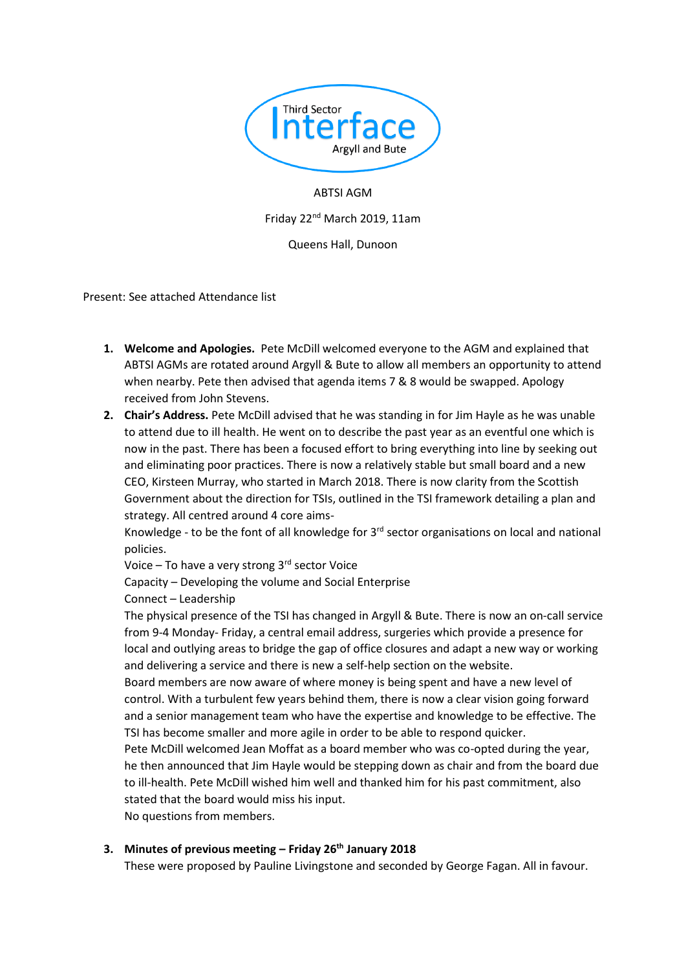

ABTSI AGM Friday 22nd March 2019, 11am Queens Hall, Dunoon

Present: See attached Attendance list

- **1. Welcome and Apologies.** Pete McDill welcomed everyone to the AGM and explained that ABTSI AGMs are rotated around Argyll & Bute to allow all members an opportunity to attend when nearby. Pete then advised that agenda items 7 & 8 would be swapped. Apology received from John Stevens.
- **2. Chair's Address.** Pete McDill advised that he was standing in for Jim Hayle as he was unable to attend due to ill health. He went on to describe the past year as an eventful one which is now in the past. There has been a focused effort to bring everything into line by seeking out and eliminating poor practices. There is now a relatively stable but small board and a new CEO, Kirsteen Murray, who started in March 2018. There is now clarity from the Scottish Government about the direction for TSIs, outlined in the TSI framework detailing a plan and strategy. All centred around 4 core aims-

Knowledge - to be the font of all knowledge for  $3<sup>rd</sup>$  sector organisations on local and national policies.

Voice – To have a very strong 3rd sector Voice

Capacity – Developing the volume and Social Enterprise

Connect – Leadership

The physical presence of the TSI has changed in Argyll & Bute. There is now an on-call service from 9-4 Monday- Friday, a central email address, surgeries which provide a presence for local and outlying areas to bridge the gap of office closures and adapt a new way or working and delivering a service and there is new a self-help section on the website.

Board members are now aware of where money is being spent and have a new level of control. With a turbulent few years behind them, there is now a clear vision going forward and a senior management team who have the expertise and knowledge to be effective. The TSI has become smaller and more agile in order to be able to respond quicker.

Pete McDill welcomed Jean Moffat as a board member who was co-opted during the year, he then announced that Jim Hayle would be stepping down as chair and from the board due to ill-health. Pete McDill wished him well and thanked him for his past commitment, also stated that the board would miss his input.

No questions from members.

# **3. Minutes of previous meeting – Friday 26th January 2018**

These were proposed by Pauline Livingstone and seconded by George Fagan. All in favour.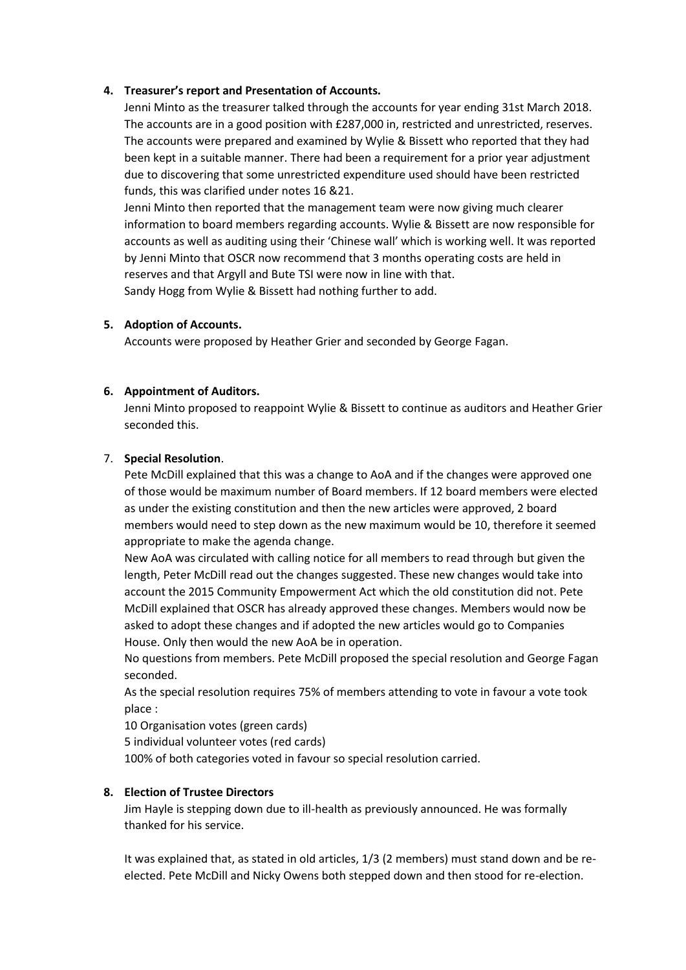## **4. Treasurer's report and Presentation of Accounts.**

Jenni Minto as the treasurer talked through the accounts for year ending 31st March 2018. The accounts are in a good position with £287,000 in, restricted and unrestricted, reserves. The accounts were prepared and examined by Wylie & Bissett who reported that they had been kept in a suitable manner. There had been a requirement for a prior year adjustment due to discovering that some unrestricted expenditure used should have been restricted funds, this was clarified under notes 16 &21.

Jenni Minto then reported that the management team were now giving much clearer information to board members regarding accounts. Wylie & Bissett are now responsible for accounts as well as auditing using their 'Chinese wall' which is working well. It was reported by Jenni Minto that OSCR now recommend that 3 months operating costs are held in reserves and that Argyll and Bute TSI were now in line with that. Sandy Hogg from Wylie & Bissett had nothing further to add.

## **5. Adoption of Accounts.**

Accounts were proposed by Heather Grier and seconded by George Fagan.

## **6. Appointment of Auditors.**

Jenni Minto proposed to reappoint Wylie & Bissett to continue as auditors and Heather Grier seconded this.

## 7. **Special Resolution**.

Pete McDill explained that this was a change to AoA and if the changes were approved one of those would be maximum number of Board members. If 12 board members were elected as under the existing constitution and then the new articles were approved, 2 board members would need to step down as the new maximum would be 10, therefore it seemed appropriate to make the agenda change.

New AoA was circulated with calling notice for all members to read through but given the length, Peter McDill read out the changes suggested. These new changes would take into account the 2015 Community Empowerment Act which the old constitution did not. Pete McDill explained that OSCR has already approved these changes. Members would now be asked to adopt these changes and if adopted the new articles would go to Companies House. Only then would the new AoA be in operation.

No questions from members. Pete McDill proposed the special resolution and George Fagan seconded.

As the special resolution requires 75% of members attending to vote in favour a vote took place :

10 Organisation votes (green cards)

5 individual volunteer votes (red cards)

100% of both categories voted in favour so special resolution carried.

# **8. Election of Trustee Directors**

Jim Hayle is stepping down due to ill-health as previously announced. He was formally thanked for his service.

It was explained that, as stated in old articles, 1/3 (2 members) must stand down and be reelected. Pete McDill and Nicky Owens both stepped down and then stood for re-election.